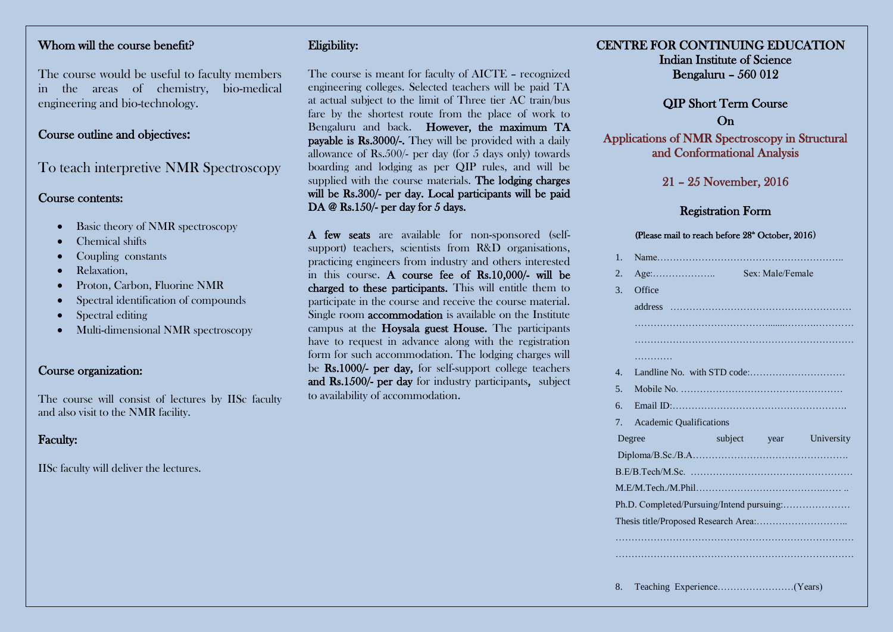# Whom will the course benefit?

The course would be useful to faculty members in the areas of chemistry, bio-medical engineering and bio-technology.

## Course outline and objectives:

To teach interpretive NMR Spectroscopy

#### Course contents:

- Basic theory of NMR spectroscopy
- Chemical shifts
- Coupling constants
- Relaxation,
- Proton, Carbon, Fluorine NMR
- Spectral identification of compounds
- Spectral editing
- Multi-dimensional NMR spectroscopy

### Course organization:

The course will consist of lectures by IISc faculty and also visit to the NMR facility.

# Faculty:

IISc faculty will deliver the lectures.

# Eligibility:

The course is meant for faculty of AICTE – recognized engineering colleges. Selected teachers will be paid TA at actual subject to the limit of Three tier AC train/bus fare by the shortest route from the place of work to Bengaluru and back. However, the maximum TA payable is Rs.3000/-. They will be provided with a daily allowance of Rs.500/- per day (for 5 days only) towards boarding and lodging as per QIP rules, and will be supplied with the course materials. The lodging charges will be Rs.300/- per day. Local participants will be paid DA @ Rs.150/- per day for 5 days.

A few seats are available for non-sponsored (selfsupport) teachers, scientists from R&D organisations, practicing engineers from industry and others interested in this course. A course fee of Rs.10,000/- will be charged to these participants. This will entitle them to participate in the course and receive the course material. Single room accommodation is available on the Institute campus at the Hoysala guest House. The participants have to request in advance along with the registration form for such accommodation. The lodging charges will be Rs.1000/- per day, for self-support college teachers and Rs.1500/- per day for industry participants, subject to availability of accommodation.

# CENTRE FOR CONTINUING EDUCATION Indian Institute of Science

Bengaluru – 560 012

# QIP Short Term Course On

Applications of NMR Spectroscopy in Structural and Conformational Analysis

## 21 – 25 November, 2016

### Registration Form

#### (Please mail to reach before 28<sup>th</sup> October, 2016)

| $1_{-}$          |                                      |                  |                         |
|------------------|--------------------------------------|------------------|-------------------------|
| $\overline{2}$ . | $Age: \dots \dots \dots \dots \dots$ | Sex: Male/Female |                         |
| 3.               | Office                               |                  |                         |
|                  |                                      |                  |                         |
|                  |                                      |                  |                         |
|                  |                                      |                  |                         |
|                  | .                                    |                  |                         |
| $\mathbf{4}$ .   |                                      |                  |                         |
| 5 <sub>1</sub>   |                                      |                  |                         |
| 6.               |                                      |                  |                         |
| 7.               | <b>Academic Qualifications</b>       |                  |                         |
|                  | Degree                               |                  | subject year University |
|                  |                                      |                  |                         |
|                  |                                      |                  |                         |
|                  |                                      |                  |                         |
|                  |                                      |                  |                         |
|                  |                                      |                  |                         |
|                  |                                      |                  |                         |
|                  |                                      |                  |                         |
|                  |                                      |                  |                         |
|                  |                                      |                  |                         |